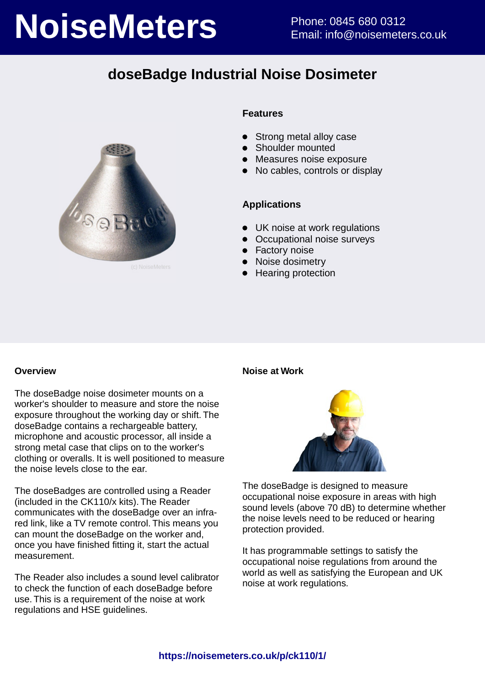# **NoiseMeters** Phone: 0845 680 0312

# **doseBadge Industrial Noise Dosimeter**



### **Features**

- Strong metal alloy case
- **•** Shoulder mounted
- Measures noise exposure
- No cables, controls or display

### **Applications**

- UK noise at work regulations
- Occupational noise surveys
- **•** Factory noise
- Noise dosimetry
- Hearing protection

### **Overview**

The doseBadge noise dosimeter mounts on a worker's shoulder to measure and store the noise exposure throughout the working day or shift. The doseBadge contains a rechargeable battery, microphone and acoustic processor, all inside a strong metal case that clips on to the worker's clothing or overalls. It is well positioned to measure the noise levels close to the ear.

The doseBadges are controlled using a Reader (included in the CK110/x kits). The Reader communicates with the doseBadge over an infrared link, like a TV remote control. This means you can mount the doseBadge on the worker and, once you have finished fitting it, start the actual measurement.

The Reader also includes a sound level calibrator to check the function of each doseBadge before use. This is a requirement of the noise at work regulations and HSE guidelines.

### **Noise at Work**



The doseBadge is designed to measure occupational noise exposure in areas with high sound levels (above 70 dB) to determine whether the noise levels need to be reduced or hearing protection provided.

It has programmable settings to satisfy the occupational noise regulations from around the world as well as satisfying the European and UK noise at work regulations.